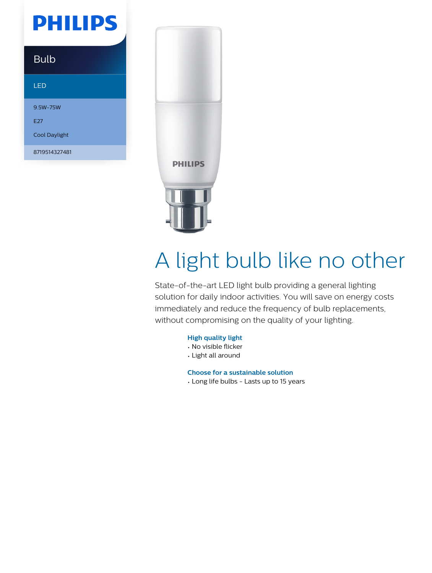## **PHILIPS**

### Bulb

#### LED

9.5W-75W E27

Cool Daylight

8719514327481



# A light bulb like no other

State-of-the-art LED light bulb providing a general lighting solution for daily indoor activities. You will save on energy costs immediately and reduce the frequency of bulb replacements, without compromising on the quality of your lighting.

#### **High quality light**

- No visible flicker
- Light all around

**Choose for a sustainable solution**

• Long life bulbs - Lasts up to 15 years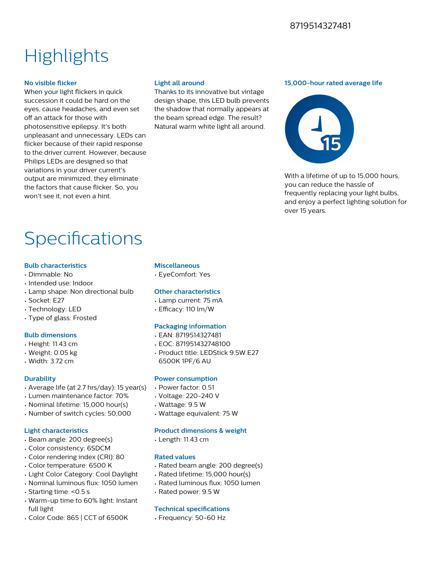#### 8719514327481

## **Highlights**

#### **No visible flicker**

When your light flickers in quick succession it could be hard on the eyes, cause headaches, and even set off an attack for those with photosensitive epilepsy. It's both unpleasant and unnecessary. LEDs can flicker because of their rapid response to the driver current. However, because Philips LEDs are designed so that variations in your driver current's output are minimized, they eliminate the factors that cause flicker. So, you won't see it, not even a hint.

#### **Light all around**

Thanks to its innovative but vintage design shape, this LED bulb prevents the shadow that normally appears at the beam spread edge. The result? Natural warm white light all around.

#### **15,000-hour rated average life**



With a lifetime of up to 15,000 hours. you can reduce the hassle of frequently replacing your light bulbs, and enjoy a perfect lighting solution for over 15 years.

## Specifications

#### **Bulb characteristics**

- Dimmable: No
- Intended use: Indoor
- Lamp shape: Non directional bulb
- Socket: E27
- Technology: LED
- Type of glass: Frosted

#### **Bulb dimensions**

- Height: 11.43 cm
- Weight: 0.05 kg
- Width: 3.72 cm

#### **Durability**

- Average life (at 2.7 hrs/day): 15 year(s)
- Lumen maintenance factor: 70%
- Nominal lifetime: 15,000 hour(s)
- Number of switch cycles: 50,000

#### **Light characteristics**

- Beam angle: 200 degree(s)
- Color consistency: 6SDCM
- Color rendering index (CRI): 80
- Color temperature: 6500 K
- Light Color Category: Cool Daylight
- Nominal luminous flux: 1050 lumen
- Starting time: <0.5 s
- Warm-up time to 60% light: Instant full light
- Color Code: 865 | CCT of 6500K

#### **Miscellaneous**

• EyeComfort: Yes

#### **Other characteristics**

- Lamp current: 75 mA
- $\cdot$  Efficacy: 110 lm/W

#### **Packaging information**

- EAN: 8719514327481
- EOC: 871951432748100
- Product title: LEDStick 9.5W E27 6500K 1PF/6 AU

#### **Power consumption**

- Power factor: 0.51
- Voltage: 220-240 V
- Wattage: 9.5 W
- Wattage equivalent: 75 W

#### **Product dimensions & weight**

• Length: 11.43 cm

#### **Rated values**

- Rated beam angle: 200 degree(s)
- Rated lifetime: 15,000 hour(s)
- Rated luminous flux: 1050 lumen
- Rated power: 9.5 W

#### **Technical specifications**

• Frequency: 50-60 Hz